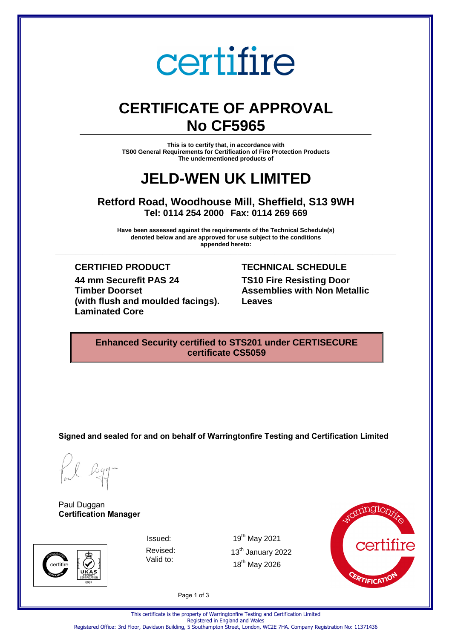# certifire

# **CERTIFICATE OF APPROVAL No CF5965**

**This is to certify that, in accordance with TS00 General Requirements for Certification of Fire Protection Products The undermentioned products of**

# **JELD-WEN UK LIMITED**

**Retford Road, Woodhouse Mill, Sheffield, S13 9WH Tel: 0114 254 2000 Fax: 0114 269 669**

**Have been assessed against the requirements of the Technical Schedule(s) denoted below and are approved for use subject to the conditions appended hereto: \_\_\_\_\_\_\_\_\_\_\_\_\_\_\_\_\_\_\_\_\_\_\_\_\_\_\_\_\_\_\_\_\_\_\_\_\_\_\_\_\_\_\_\_\_\_\_\_\_\_\_\_\_\_\_\_\_\_\_\_\_\_\_\_\_\_\_\_\_\_\_\_\_\_\_\_\_\_\_\_\_\_\_\_\_\_\_\_\_\_\_\_\_\_\_\_\_\_\_\_\_**

**44 mm Securefit PAS 24 Timber Doorset (with flush and moulded facings). Laminated Core**

**CERTIFIED PRODUCT TECHNICAL SCHEDULE TS10 Fire Resisting Door Assemblies with Non Metallic Leaves** 

# **Enhanced Security certified to STS201 under CERTISECURE certificate CS5059**

**Signed and sealed for and on behalf of Warringtonfire Testing and Certification Limited**

Paul Duggan **Certification Manager**



Issued: 19<sup>th</sup> May 2021 Revised:  $13^{th}$  January 2022<br>Valid to:  $\frac{13^{th} + 1}{13^{th} + 1} = 225$ 18<sup>th</sup> May 2026



Page 1 of 3

This certificate is the property of Warringtonfire Testing and Certification Limited

Registered in England and Wales

Registered Office: 3rd Floor, Davidson Building, 5 Southampton Street, London, WC2E 7HA. Company Registration No: 11371436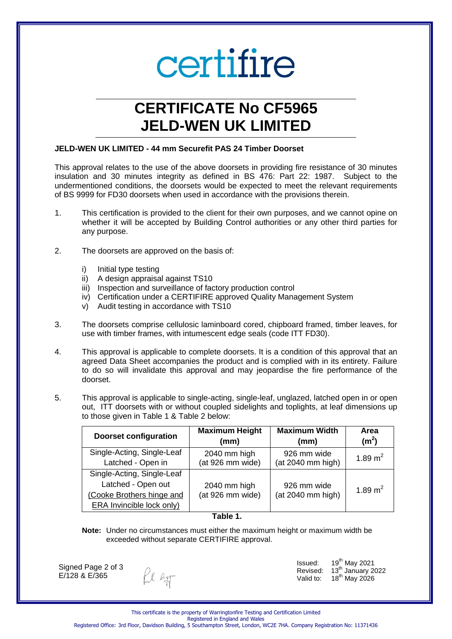# certifire

# **CERTIFICATE No CF5965 JELD-WEN UK LIMITED**

# **JELD-WEN UK LIMITED - 44 mm Securefit PAS 24 Timber Doorset**

This approval relates to the use of the above doorsets in providing fire resistance of 30 minutes insulation and 30 minutes integrity as defined in BS 476: Part 22: 1987. Subject to the undermentioned conditions, the doorsets would be expected to meet the relevant requirements of BS 9999 for FD30 doorsets when used in accordance with the provisions therein.

- 1. This certification is provided to the client for their own purposes, and we cannot opine on whether it will be accepted by Building Control authorities or any other third parties for any purpose.
- 2. The doorsets are approved on the basis of:
	- i) Initial type testing
	- ii) A design appraisal against TS10
	- iii) Inspection and surveillance of factory production control
	- iv) Certification under a CERTIFIRE approved Quality Management System
	- v) Audit testing in accordance with TS10
- 3. The doorsets comprise cellulosic laminboard cored, chipboard framed, timber leaves, for use with timber frames, with intumescent edge seals (code ITT FD30).
- 4. This approval is applicable to complete doorsets. It is a condition of this approval that an agreed Data Sheet accompanies the product and is complied with in its entirety. Failure to do so will invalidate this approval and may jeopardise the fire performance of the doorset.
- 5. This approval is applicable to single-acting, single-leaf, unglazed, latched open in or open out, ITT doorsets with or without coupled sidelights and toplights, at leaf dimensions up to those given in Table 1 & Table 2 below:

| <b>Doorset configuration</b>                                                                                      | <b>Maximum Height</b>            | <b>Maximum Width</b>             | Area              |
|-------------------------------------------------------------------------------------------------------------------|----------------------------------|----------------------------------|-------------------|
|                                                                                                                   | (mm)                             | (mm)                             | (m <sup>2</sup> ) |
| Single-Acting, Single-Leaf                                                                                        | 2040 mm high                     | 926 mm wide                      | 1.89 $m2$         |
| Latched - Open in                                                                                                 | (at 926 mm wide)                 | (at 2040 mm high)                |                   |
| Single-Acting, Single-Leaf<br>Latched - Open out<br>(Cooke Brothers hinge and<br><b>ERA Invincible lock only)</b> | 2040 mm high<br>(at 926 mm wide) | 926 mm wide<br>(at 2040 mm high) | 1.89 $m^2$        |

**Table 1.**

**Note:** Under no circumstances must either the maximum height or maximum width be exceeded without separate CERTIFIRE approval.

Signed Page 2 of 3 E/128 & E/365

fil ligg-

Issued:  $19_1^{\text{th}}$  May 2021 Revised:  $13^{th}$  January 2022 Valid to:  $18^{th}$  May 2026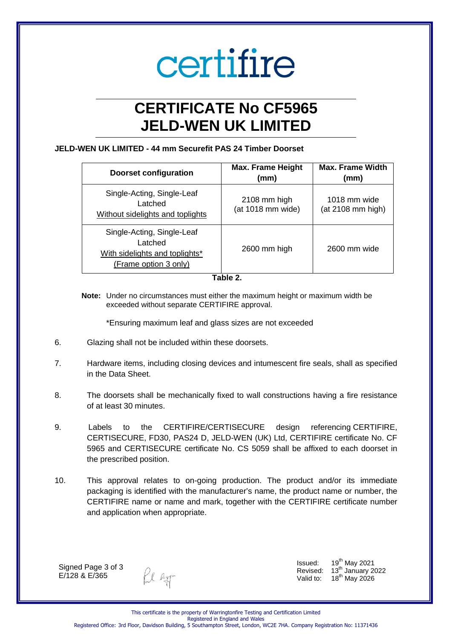# certifire

# **CERTIFICATE No CF5965 JELD-WEN UK LIMITED**

# **JELD-WEN UK LIMITED - 44 mm Securefit PAS 24 Timber Doorset**

| <b>Doorset configuration</b>                                                                     | <b>Max. Frame Height</b><br>(mm)  | <b>Max. Frame Width</b><br>(mm)   |
|--------------------------------------------------------------------------------------------------|-----------------------------------|-----------------------------------|
| Single-Acting, Single-Leaf<br>Latched<br>Without sidelights and toplights                        | 2108 mm high<br>(at 1018 mm wide) | 1018 mm wide<br>(at 2108 mm high) |
| Single-Acting, Single-Leaf<br>Latched<br>With sidelights and toplights*<br>(Frame option 3 only) | 2600 mm high                      | 2600 mm wide                      |
| Гаble 2.                                                                                         |                                   |                                   |

**Note:** Under no circumstances must either the maximum height or maximum width be exceeded without separate CERTIFIRE approval.

\*Ensuring maximum leaf and glass sizes are not exceeded

- 6. Glazing shall not be included within these doorsets.
- 7. Hardware items, including closing devices and intumescent fire seals, shall as specified in the Data Sheet.
- 8. The doorsets shall be mechanically fixed to wall constructions having a fire resistance of at least 30 minutes.
- 9. Labels to the CERTIFIRE/CERTISECURE design referencing CERTIFIRE, CERTISECURE, FD30, PAS24 D, JELD-WEN (UK) Ltd, CERTIFIRE certificate No. CF 5965 and CERTISECURE certificate No. CS 5059 shall be affixed to each doorset in the prescribed position.
- 10. This approval relates to on-going production. The product and/or its immediate packaging is identified with the manufacturer's name, the product name or number, the CERTIFIRE name or name and mark, together with the CERTIFIRE certificate number and application when appropriate.

Signed Page 3 of 3 E/128 & E/365

fil ligg-

Issued:  $19_1^{\text{th}}$  May 2021 Revised:  $13^{th}$  January 2022 Valid to:  $18^{th}$  May 2026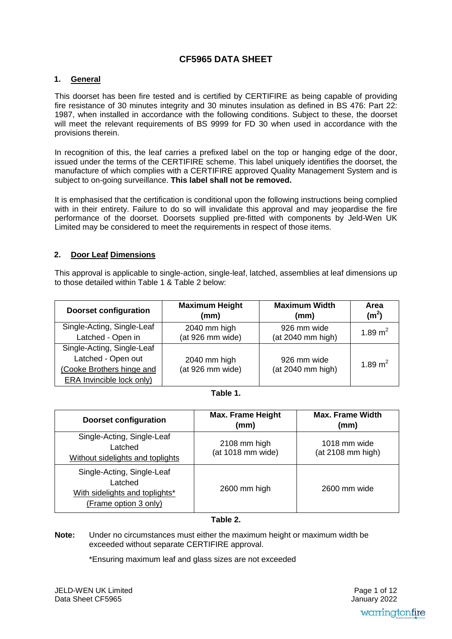# **CF5965 DATA SHEET**

# **1. General**

This doorset has been fire tested and is certified by CERTIFIRE as being capable of providing fire resistance of 30 minutes integrity and 30 minutes insulation as defined in BS 476: Part 22: 1987, when installed in accordance with the following conditions. Subject to these, the doorset will meet the relevant requirements of BS 9999 for FD 30 when used in accordance with the provisions therein.

In recognition of this, the leaf carries a prefixed label on the top or hanging edge of the door, issued under the terms of the CERTIFIRE scheme. This label uniquely identifies the doorset, the manufacture of which complies with a CERTIFIRE approved Quality Management System and is subject to on-going surveillance. **This label shall not be removed.**

It is emphasised that the certification is conditional upon the following instructions being complied with in their entirety. Failure to do so will invalidate this approval and may jeopardise the fire performance of the doorset. Doorsets supplied pre-fitted with components by Jeld-Wen UK Limited may be considered to meet the requirements in respect of those items.

# **2. Door Leaf Dimensions**

This approval is applicable to single-action, single-leaf, latched, assemblies at leaf dimensions up to those detailed within Table 1 & Table 2 below:

| <b>Doorset configuration</b>                                                                               | <b>Maximum Height</b>            | <b>Maximum Width</b>             | Area              |
|------------------------------------------------------------------------------------------------------------|----------------------------------|----------------------------------|-------------------|
|                                                                                                            | (mm)                             | (mm)                             | (m <sup>2</sup> ) |
| Single-Acting, Single-Leaf                                                                                 | 2040 mm high                     | 926 mm wide                      | 1.89 $m2$         |
| Latched - Open in                                                                                          | (at 926 mm wide)                 | (at 2040 mm high)                |                   |
| Single-Acting, Single-Leaf<br>Latched - Open out<br>(Cooke Brothers hinge and<br>ERA Invincible lock only) | 2040 mm high<br>(at 926 mm wide) | 926 mm wide<br>(at 2040 mm high) | 1.89 $m2$         |

### **Table 1.**

| <b>Doorset configuration</b>                                                                     | <b>Max. Frame Height</b><br>(mm)  | <b>Max. Frame Width</b><br>(mm)   |
|--------------------------------------------------------------------------------------------------|-----------------------------------|-----------------------------------|
| Single-Acting, Single-Leaf<br>Latched<br>Without sidelights and toplights                        | 2108 mm high<br>(at 1018 mm wide) | 1018 mm wide<br>(at 2108 mm high) |
| Single-Acting, Single-Leaf<br>Latched<br>With sidelights and toplights*<br>(Frame option 3 only) | 2600 mm high                      | 2600 mm wide                      |

## **Table 2.**

**Note:** Under no circumstances must either the maximum height or maximum width be exceeded without separate CERTIFIRE approval.

\*Ensuring maximum leaf and glass sizes are not exceeded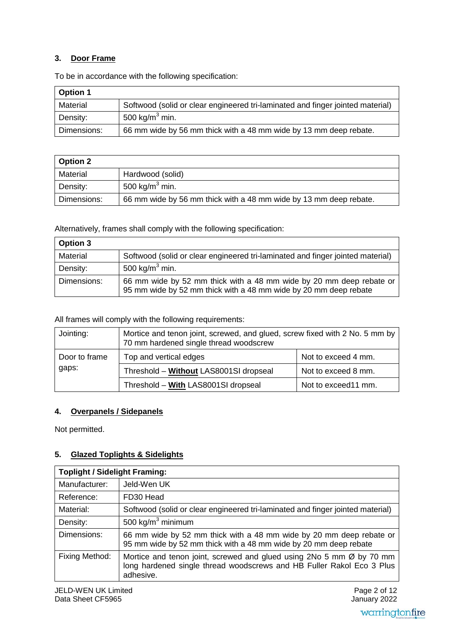# **3. Door Frame**

To be in accordance with the following specification:

| Option 1    |                                                                                |
|-------------|--------------------------------------------------------------------------------|
| Material    | Softwood (solid or clear engineered tri-laminated and finger jointed material) |
| Density:    | 500 kg/m <sup>3</sup> min.                                                     |
| Dimensions: | 66 mm wide by 56 mm thick with a 48 mm wide by 13 mm deep rebate.              |

| Option 2    |                                                                   |
|-------------|-------------------------------------------------------------------|
| Material    | Hardwood (solid)                                                  |
| Density:    | 500 kg/m <sup>3</sup> min.                                        |
| Dimensions: | 66 mm wide by 56 mm thick with a 48 mm wide by 13 mm deep rebate. |

Alternatively, frames shall comply with the following specification:

| <b>Option 3</b> |                                                                                                                                         |
|-----------------|-----------------------------------------------------------------------------------------------------------------------------------------|
| Material        | Softwood (solid or clear engineered tri-laminated and finger jointed material)                                                          |
| Density:        | 500 kg/m <sup>3</sup> min.                                                                                                              |
| Dimensions:     | 66 mm wide by 52 mm thick with a 48 mm wide by 20 mm deep rebate or<br>95 mm wide by 52 mm thick with a 48 mm wide by 20 mm deep rebate |

All frames will comply with the following requirements:

| Jointing:              | Mortice and tenon joint, screwed, and glued, screw fixed with 2 No. 5 mm by<br>70 mm hardened single thread woodscrew |                     |
|------------------------|-----------------------------------------------------------------------------------------------------------------------|---------------------|
| Door to frame<br>gaps: | Top and vertical edges                                                                                                | Not to exceed 4 mm. |
|                        | Threshold - Without LAS8001SI dropseal                                                                                | Not to exceed 8 mm. |
|                        | Threshold - With LAS8001SI dropseal                                                                                   | Not to exceed11 mm. |

# **4. Overpanels / Sidepanels**

Not permitted.

# **5. Glazed Toplights & Sidelights**

| <b>Toplight / Sidelight Framing:</b> |                                                                                                                                                                        |
|--------------------------------------|------------------------------------------------------------------------------------------------------------------------------------------------------------------------|
| Manufacturer:                        | Jeld-Wen UK                                                                                                                                                            |
| Reference:                           | FD30 Head                                                                                                                                                              |
| Material:                            | Softwood (solid or clear engineered tri-laminated and finger jointed material)                                                                                         |
| Density:                             | 500 kg/ $m3$ minimum                                                                                                                                                   |
| Dimensions:                          | 66 mm wide by 52 mm thick with a 48 mm wide by 20 mm deep rebate or<br>95 mm wide by 52 mm thick with a 48 mm wide by 20 mm deep rebate                                |
| Fixing Method:                       | Mortice and tenon joint, screwed and glued using 2No 5 mm $\varnothing$ by 70 mm<br>long hardened single thread woodscrews and HB Fuller Rakol Eco 3 Plus<br>adhesive. |

 January 2022Page 2 of 12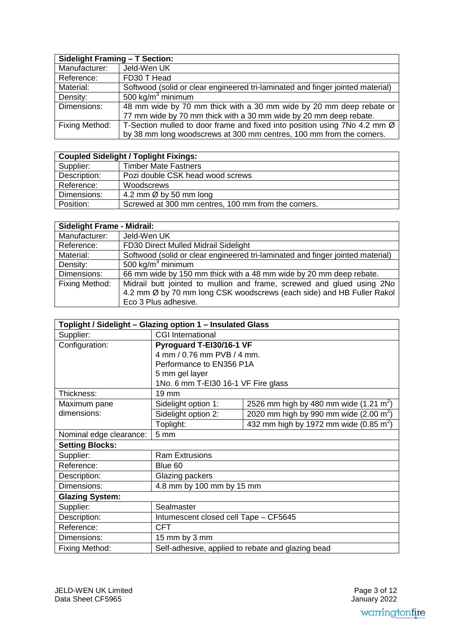| Sidelight Framing - T Section: |                                                                                |
|--------------------------------|--------------------------------------------------------------------------------|
| Manufacturer:                  | Jeld-Wen UK                                                                    |
| Reference:                     | FD30 T Head                                                                    |
| Material:                      | Softwood (solid or clear engineered tri-laminated and finger jointed material) |
| Density:                       | 500 kg/ $m3$ minimum                                                           |
| Dimensions:                    | 48 mm wide by 70 mm thick with a 30 mm wide by 20 mm deep rebate or            |
|                                | 77 mm wide by 70 mm thick with a 30 mm wide by 20 mm deep rebate.              |
| Fixing Method:                 | T-Section mulled to door frame and fixed into position using 7No 4.2 mm Ø      |
|                                | by 38 mm long woodscrews at 300 mm centres, 100 mm from the corners.           |

| <b>Coupled Sidelight / Toplight Fixings:</b> |                                                     |
|----------------------------------------------|-----------------------------------------------------|
| Supplier:                                    | <b>Timber Mate Fastners</b>                         |
| Description:                                 | Pozi double CSK head wood screws                    |
| Reference:                                   | Woodscrews                                          |
| Dimensions:                                  | 4.2 mm $\varnothing$ by 50 mm long                  |
| Position:                                    | Screwed at 300 mm centres, 100 mm from the corners. |

| <b>Sidelight Frame - Midrail:</b> |                                                                                |
|-----------------------------------|--------------------------------------------------------------------------------|
| Manufacturer:                     | Jeld-Wen UK                                                                    |
| Reference:                        | FD30 Direct Mulled Midrail Sidelight                                           |
| Material:                         | Softwood (solid or clear engineered tri-laminated and finger jointed material) |
| Density:                          | 500 kg/ $m3$ minimum                                                           |
| Dimensions:                       | 66 mm wide by 150 mm thick with a 48 mm wide by 20 mm deep rebate.             |
| Fixing Method:                    | Midrail butt jointed to mullion and frame, screwed and glued using 2No         |
|                                   | 4.2 mm Ø by 70 mm long CSK woodscrews (each side) and HB Fuller Rakol          |
|                                   | Eco 3 Plus adhesive.                                                           |

| Toplight / Sidelight - Glazing option 1 - Insulated Glass |                                                   |                                                    |
|-----------------------------------------------------------|---------------------------------------------------|----------------------------------------------------|
| Supplier:                                                 | <b>CGI International</b>                          |                                                    |
| Configuration:                                            | Pyroguard T-EI30/16-1 VF                          |                                                    |
|                                                           | 4 mm / 0.76 mm PVB / 4 mm.                        |                                                    |
|                                                           | Performance to EN356 P1A                          |                                                    |
|                                                           | 5 mm gel layer                                    |                                                    |
|                                                           | 1No. 6 mm T-EI30 16-1 VF Fire glass               |                                                    |
| Thickness:                                                | $19 \text{ mm}$                                   |                                                    |
| Maximum pane                                              | Sidelight option 1:                               | 2526 mm high by 480 mm wide $(1.21 \text{ m}^2)$   |
| dimensions:                                               | Sidelight option 2:                               | 2020 mm high by 990 mm wide $(2.00 \text{ m}^2)$   |
|                                                           | Toplight:                                         | 432 mm high by 1972 mm wide (0.85 m <sup>2</sup> ) |
| Nominal edge clearance:                                   | 5 <sub>mm</sub>                                   |                                                    |
| <b>Setting Blocks:</b>                                    |                                                   |                                                    |
| Supplier:                                                 | <b>Ram Extrusions</b>                             |                                                    |
| Reference:                                                | Blue 60                                           |                                                    |
| Description:                                              | Glazing packers                                   |                                                    |
| Dimensions:                                               | 4.8 mm by 100 mm by 15 mm                         |                                                    |
| <b>Glazing System:</b>                                    |                                                   |                                                    |
| Supplier:                                                 | Sealmaster                                        |                                                    |
| Description:                                              | Intumescent closed cell Tape - CF5645             |                                                    |
| Reference:                                                | <b>CFT</b>                                        |                                                    |
| Dimensions:                                               | 15 mm by 3 mm                                     |                                                    |
| Fixing Method:                                            | Self-adhesive, applied to rebate and glazing bead |                                                    |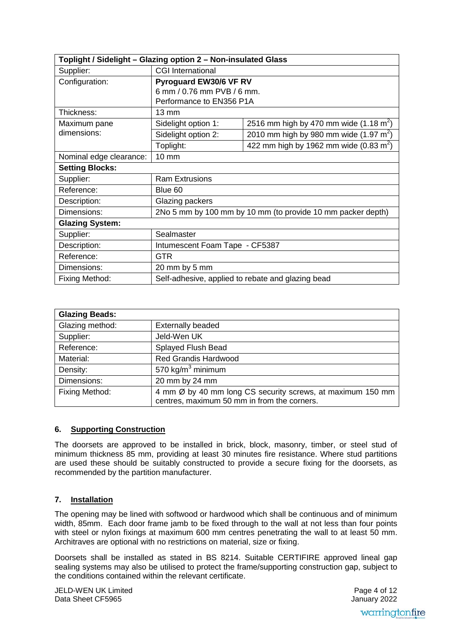| Toplight / Sidelight - Glazing option 2 - Non-insulated Glass |                                                             |                                                    |  |
|---------------------------------------------------------------|-------------------------------------------------------------|----------------------------------------------------|--|
| Supplier:                                                     | <b>CGI International</b>                                    |                                                    |  |
| Configuration:                                                | <b>Pyroguard EW30/6 VF RV</b>                               |                                                    |  |
|                                                               | 6 mm / 0.76 mm PVB / 6 mm.                                  |                                                    |  |
|                                                               | Performance to EN356 P1A                                    |                                                    |  |
| Thickness:                                                    | 13 mm                                                       |                                                    |  |
| Maximum pane                                                  | Sidelight option 1:                                         | 2516 mm high by 470 mm wide $(1.18 \text{ m}^2)$   |  |
| dimensions:                                                   | Sidelight option 2:                                         | 2010 mm high by 980 mm wide $(1.97 \text{ m}^2)$   |  |
|                                                               | Toplight:                                                   | 422 mm high by 1962 mm wide (0.83 m <sup>2</sup> ) |  |
| Nominal edge clearance:                                       | 10 mm                                                       |                                                    |  |
| <b>Setting Blocks:</b>                                        |                                                             |                                                    |  |
| Supplier:                                                     | <b>Ram Extrusions</b>                                       |                                                    |  |
| Reference:                                                    | Blue 60                                                     |                                                    |  |
| Description:                                                  | Glazing packers                                             |                                                    |  |
| Dimensions:                                                   | 2No 5 mm by 100 mm by 10 mm (to provide 10 mm packer depth) |                                                    |  |
| <b>Glazing System:</b>                                        |                                                             |                                                    |  |
| Supplier:                                                     | Sealmaster                                                  |                                                    |  |
| Description:                                                  | Intumescent Foam Tape - CF5387                              |                                                    |  |
| Reference:                                                    | <b>GTR</b>                                                  |                                                    |  |
| Dimensions:                                                   | 20 mm by 5 mm                                               |                                                    |  |
| Fixing Method:                                                | Self-adhesive, applied to rebate and glazing bead           |                                                    |  |

| <b>Glazing Beads:</b> |                                                                                                           |
|-----------------------|-----------------------------------------------------------------------------------------------------------|
| Glazing method:       | <b>Externally beaded</b>                                                                                  |
| Supplier:             | Jeld-Wen UK                                                                                               |
| Reference:            | Splayed Flush Bead                                                                                        |
| Material:             | <b>Red Grandis Hardwood</b>                                                                               |
| Density:              | 570 kg/ $m3$ minimum                                                                                      |
| Dimensions:           | 20 mm by 24 mm                                                                                            |
| Fixing Method:        | 4 mm Ø by 40 mm long CS security screws, at maximum 150 mm<br>centres, maximum 50 mm in from the corners. |

# **6. Supporting Construction**

The doorsets are approved to be installed in brick, block, masonry, timber, or steel stud of minimum thickness 85 mm, providing at least 30 minutes fire resistance. Where stud partitions are used these should be suitably constructed to provide a secure fixing for the doorsets, as recommended by the partition manufacturer.

# **7. Installation**

The opening may be lined with softwood or hardwood which shall be continuous and of minimum width, 85mm. Each door frame jamb to be fixed through to the wall at not less than four points with steel or nylon fixings at maximum 600 mm centres penetrating the wall to at least 50 mm. Architraves are optional with no restrictions on material, size or fixing.

Doorsets shall be installed as stated in BS 8214. Suitable CERTIFIRE approved lineal gap sealing systems may also be utilised to protect the frame/supporting construction gap, subject to the conditions contained within the relevant certificate.

JELD-WEN UK Limited Data Sheet CF5965

 January 2022Page 4 of 12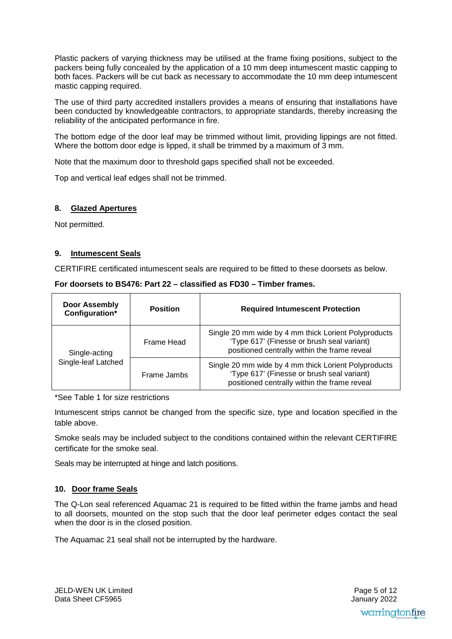Plastic packers of varying thickness may be utilised at the frame fixing positions, subject to the packers being fully concealed by the application of a 10 mm deep intumescent mastic capping to both faces. Packers will be cut back as necessary to accommodate the 10 mm deep intumescent mastic capping required.

The use of third party accredited installers provides a means of ensuring that installations have been conducted by knowledgeable contractors, to appropriate standards, thereby increasing the reliability of the anticipated performance in fire.

The bottom edge of the door leaf may be trimmed without limit, providing lippings are not fitted. Where the bottom door edge is lipped, it shall be trimmed by a maximum of 3 mm.

Note that the maximum door to threshold gaps specified shall not be exceeded.

Top and vertical leaf edges shall not be trimmed.

## **8. Glazed Apertures**

Not permitted.

# **9. Intumescent Seals**

CERTIFIRE certificated intumescent seals are required to be fitted to these doorsets as below.

| Door Assembly<br>Configuration*      | <b>Position</b> | <b>Required Intumescent Protection</b>                                                                                                             |
|--------------------------------------|-----------------|----------------------------------------------------------------------------------------------------------------------------------------------------|
| Single-acting<br>Single-leaf Latched | Frame Head      | Single 20 mm wide by 4 mm thick Lorient Polyproducts<br>'Type 617' (Finesse or brush seal variant)<br>positioned centrally within the frame reveal |
|                                      | Frame Jambs     | Single 20 mm wide by 4 mm thick Lorient Polyproducts<br>'Type 617' (Finesse or brush seal variant)<br>positioned centrally within the frame reveal |

**For doorsets to BS476: Part 22 – classified as FD30 – Timber frames.**

\*See Table 1 for size restrictions

Intumescent strips cannot be changed from the specific size, type and location specified in the table above.

Smoke seals may be included subject to the conditions contained within the relevant CERTIFIRE certificate for the smoke seal.

Seals may be interrupted at hinge and latch positions.

# **10. Door frame Seals**

The Q-Lon seal referenced Aquamac 21 is required to be fitted within the frame jambs and head to all doorsets, mounted on the stop such that the door leaf perimeter edges contact the seal when the door is in the closed position.

The Aquamac 21 seal shall not be interrupted by the hardware.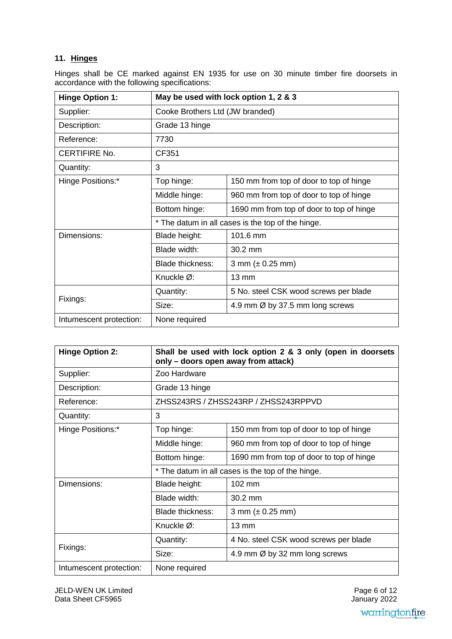# **11. Hinges**

Hinges shall be CE marked against EN 1935 for use on 30 minute timber fire doorsets in accordance with the following specifications:

| <b>Hinge Option 1:</b>  | May be used with lock option 1, 2 & 3             |                                          |
|-------------------------|---------------------------------------------------|------------------------------------------|
| Supplier:               | Cooke Brothers Ltd (JW branded)                   |                                          |
| Description:            | Grade 13 hinge                                    |                                          |
| Reference:              | 7730                                              |                                          |
| CERTIFIRE No.           | CF351                                             |                                          |
| Quantity:               | 3                                                 |                                          |
| Hinge Positions:*       | Top hinge:                                        | 150 mm from top of door to top of hinge  |
|                         | Middle hinge:                                     | 960 mm from top of door to top of hinge  |
|                         | Bottom hinge:                                     | 1690 mm from top of door to top of hinge |
|                         | * The datum in all cases is the top of the hinge. |                                          |
| Dimensions:             | Blade height:                                     | 101.6 mm                                 |
|                         | Blade width:                                      | $30.2 \text{ mm}$                        |
|                         | <b>Blade thickness:</b>                           | 3 mm $(\pm 0.25$ mm)                     |
|                         | Knuckle Ø:                                        | 13 mm                                    |
| Fixings:                | Quantity:                                         | 5 No. steel CSK wood screws per blade    |
|                         | Size:                                             | 4.9 mm Ø by 37.5 mm long screws          |
| Intumescent protection: | None required                                     |                                          |

| <b>Hinge Option 2:</b>  | Shall be used with lock option 2 & 3 only (open in doorsets<br>only - doors open away from attack) |                                          |
|-------------------------|----------------------------------------------------------------------------------------------------|------------------------------------------|
| Supplier:               | Zoo Hardware                                                                                       |                                          |
| Description:            | Grade 13 hinge                                                                                     |                                          |
| Reference:              |                                                                                                    | ZHSS243RS / ZHSS243RP / ZHSS243RPPVD     |
| Quantity:               | 3                                                                                                  |                                          |
| Hinge Positions:*       | Top hinge:                                                                                         | 150 mm from top of door to top of hinge  |
|                         | Middle hinge:                                                                                      | 960 mm from top of door to top of hinge  |
|                         | Bottom hinge:                                                                                      | 1690 mm from top of door to top of hinge |
|                         | * The datum in all cases is the top of the hinge.                                                  |                                          |
| Dimensions:             | Blade height:                                                                                      | $102 \text{ mm}$                         |
|                         | Blade width:                                                                                       | $30.2$ mm                                |
|                         | <b>Blade thickness:</b>                                                                            | 3 mm $(\pm 0.25 \text{ mm})$             |
|                         | Knuckle Ø:                                                                                         | 13 mm                                    |
| Fixings:                | Quantity:                                                                                          | 4 No. steel CSK wood screws per blade    |
|                         | Size:                                                                                              | 4.9 mm Ø by 32 mm long screws            |
| Intumescent protection: | None required                                                                                      |                                          |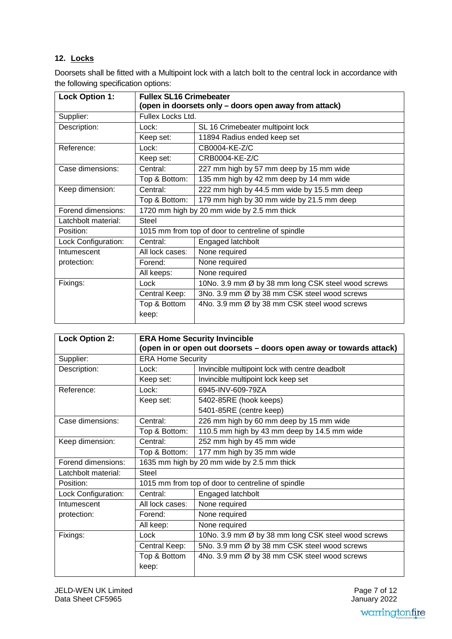# **12. Locks**

Doorsets shall be fitted with a Multipoint lock with a latch bolt to the central lock in accordance with the following specification options:

| <b>Lock Option 1:</b> | <b>Fullex SL16 Crimebeater</b>                          |                                                    |  |
|-----------------------|---------------------------------------------------------|----------------------------------------------------|--|
|                       | (open in doorsets only – doors open away from attack)   |                                                    |  |
| Supplier:             | Fullex Locks Ltd.                                       |                                                    |  |
| Description:          | Lock:                                                   | SL 16 Crimebeater multipoint lock                  |  |
|                       | Keep set:                                               | 11894 Radius ended keep set                        |  |
| Reference:            | Lock:                                                   | CB0004-KE-Z/C                                      |  |
|                       | Keep set:                                               | CRB0004-KE-Z/C                                     |  |
| Case dimensions:      | Central:                                                | 227 mm high by 57 mm deep by 15 mm wide            |  |
|                       | Top & Bottom:                                           | 135 mm high by 42 mm deep by 14 mm wide            |  |
| Keep dimension:       | 222 mm high by 44.5 mm wide by 15.5 mm deep<br>Central: |                                                    |  |
|                       | Top & Bottom:                                           | 179 mm high by 30 mm wide by 21.5 mm deep          |  |
| Forend dimensions:    | 1720 mm high by 20 mm wide by 2.5 mm thick              |                                                    |  |
| Latchbolt material:   | <b>Steel</b>                                            |                                                    |  |
| Position:             | 1015 mm from top of door to centreline of spindle       |                                                    |  |
| Lock Configuration:   | Central:                                                | Engaged latchbolt                                  |  |
| Intumescent           | All lock cases:                                         | None required                                      |  |
| protection:           | Forend:                                                 | None required                                      |  |
|                       | All keeps:                                              | None required                                      |  |
| Fixings:              | Lock                                                    | 10No. 3.9 mm Ø by 38 mm long CSK steel wood screws |  |
|                       | Central Keep:                                           | 3No. 3.9 mm Ø by 38 mm CSK steel wood screws       |  |
|                       | Top & Bottom<br>keep:                                   | 4No. 3.9 mm Ø by 38 mm CSK steel wood screws       |  |

| <b>Lock Option 2:</b> | <b>ERA Home Security Invincible</b>               |                                                                    |
|-----------------------|---------------------------------------------------|--------------------------------------------------------------------|
|                       |                                                   | (open in or open out doorsets - doors open away or towards attack) |
| Supplier:             | <b>ERA Home Security</b>                          |                                                                    |
| Description:          | Lock:                                             | Invincible multipoint lock with centre deadbolt                    |
|                       | Keep set:                                         | Invincible multipoint lock keep set                                |
| Reference:            | Lock:                                             | 6945-INV-609-79ZA                                                  |
|                       | Keep set:                                         | 5402-85RE (hook keeps)                                             |
|                       |                                                   | 5401-85RE (centre keep)                                            |
| Case dimensions:      | Central:                                          | 226 mm high by 60 mm deep by 15 mm wide                            |
|                       | Top & Bottom:                                     | 110.5 mm high by 43 mm deep by 14.5 mm wide                        |
| Keep dimension:       | Central:                                          | 252 mm high by 45 mm wide                                          |
|                       | Top & Bottom:                                     | 177 mm high by 35 mm wide                                          |
| Forend dimensions:    | 1635 mm high by 20 mm wide by 2.5 mm thick        |                                                                    |
| Latchbolt material:   | <b>Steel</b>                                      |                                                                    |
| Position:             | 1015 mm from top of door to centreline of spindle |                                                                    |
| Lock Configuration:   | Central:                                          | Engaged latchbolt                                                  |
| Intumescent           | All lock cases:                                   | None required                                                      |
| protection:           | Forend:                                           | None required                                                      |
|                       | All keep:                                         | None required                                                      |
| Fixings:              | $L$ ock                                           | 10No. 3.9 mm Ø by 38 mm long CSK steel wood screws                 |
|                       | Central Keep:                                     | 5No. 3.9 mm Ø by 38 mm CSK steel wood screws                       |
|                       | Top & Bottom                                      | 4No. 3.9 mm Ø by 38 mm CSK steel wood screws                       |
|                       | keep:                                             |                                                                    |
|                       |                                                   |                                                                    |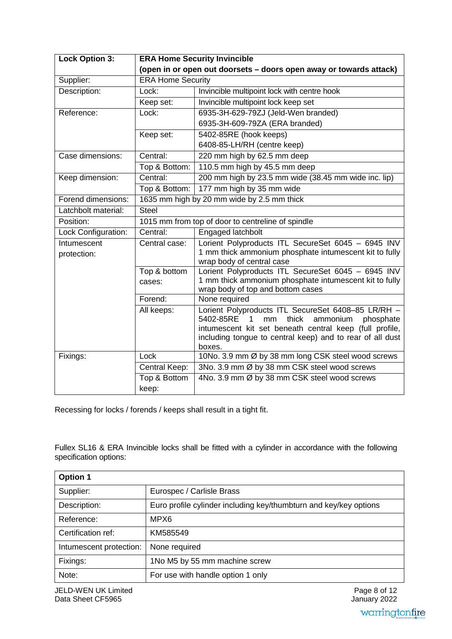| <b>Lock Option 3:</b> | <b>ERA Home Security Invincible</b><br>(open in or open out doorsets - doors open away or towards attack) |                                                                                                                                                                                                                                                |
|-----------------------|-----------------------------------------------------------------------------------------------------------|------------------------------------------------------------------------------------------------------------------------------------------------------------------------------------------------------------------------------------------------|
| Supplier:             | <b>ERA Home Security</b>                                                                                  |                                                                                                                                                                                                                                                |
| Description:          | Lock:                                                                                                     | Invincible multipoint lock with centre hook                                                                                                                                                                                                    |
|                       | Keep set:                                                                                                 | Invincible multipoint lock keep set                                                                                                                                                                                                            |
| Reference:            | Lock:                                                                                                     | 6935-3H-629-79ZJ (Jeld-Wen branded)                                                                                                                                                                                                            |
|                       |                                                                                                           | 6935-3H-609-79ZA (ERA branded)                                                                                                                                                                                                                 |
|                       | Keep set:                                                                                                 | 5402-85RE (hook keeps)                                                                                                                                                                                                                         |
|                       |                                                                                                           | 6408-85-LH/RH (centre keep)                                                                                                                                                                                                                    |
| Case dimensions:      | Central:                                                                                                  | 220 mm high by 62.5 mm deep                                                                                                                                                                                                                    |
|                       | Top & Bottom:                                                                                             | 110.5 mm high by 45.5 mm deep                                                                                                                                                                                                                  |
| Keep dimension:       | Central:                                                                                                  | 200 mm high by 23.5 mm wide (38.45 mm wide inc. lip)                                                                                                                                                                                           |
|                       | Top & Bottom:                                                                                             | 177 mm high by 35 mm wide                                                                                                                                                                                                                      |
| Forend dimensions:    | 1635 mm high by 20 mm wide by 2.5 mm thick                                                                |                                                                                                                                                                                                                                                |
| Latchbolt material:   | <b>Steel</b>                                                                                              |                                                                                                                                                                                                                                                |
| Position:             |                                                                                                           | 1015 mm from top of door to centreline of spindle                                                                                                                                                                                              |
| Lock Configuration:   | Central:                                                                                                  | Engaged latchbolt                                                                                                                                                                                                                              |
| Intumescent           | Central case:                                                                                             | Lorient Polyproducts ITL SecureSet 6045 - 6945 INV                                                                                                                                                                                             |
| protection:           |                                                                                                           | 1 mm thick ammonium phosphate intumescent kit to fully<br>wrap body of central case                                                                                                                                                            |
|                       | Top & bottom                                                                                              | Lorient Polyproducts ITL SecureSet 6045 - 6945 INV                                                                                                                                                                                             |
|                       | cases:                                                                                                    | 1 mm thick ammonium phosphate intumescent kit to fully<br>wrap body of top and bottom cases                                                                                                                                                    |
|                       | Forend:                                                                                                   | None required                                                                                                                                                                                                                                  |
|                       | All keeps:                                                                                                | Lorient Polyproducts ITL SecureSet 6408-85 LR/RH -<br>5402-85RE<br>thick<br>1<br>mm<br>ammonium<br>phosphate<br>intumescent kit set beneath central keep (full profile,<br>including tongue to central keep) and to rear of all dust<br>boxes. |
| Fixings:              | Lock                                                                                                      | 10No. 3.9 mm Ø by 38 mm long CSK steel wood screws                                                                                                                                                                                             |
|                       | Central Keep:                                                                                             | 3No. 3.9 mm Ø by 38 mm CSK steel wood screws                                                                                                                                                                                                   |
|                       | Top & Bottom                                                                                              | 4No. 3.9 mm Ø by 38 mm CSK steel wood screws                                                                                                                                                                                                   |
|                       | keep:                                                                                                     |                                                                                                                                                                                                                                                |

Recessing for locks / forends / keeps shall result in a tight fit.

Fullex SL16 & ERA Invincible locks shall be fitted with a cylinder in accordance with the following specification options:

| <b>Option 1</b>         |                                                                   |
|-------------------------|-------------------------------------------------------------------|
| Supplier:               | Eurospec / Carlisle Brass                                         |
| Description:            | Euro profile cylinder including key/thumbturn and key/key options |
| Reference:              | MPX6                                                              |
| Certification ref:      | KM585549                                                          |
| Intumescent protection: | None required                                                     |
| Fixings:                | 1No M5 by 55 mm machine screw                                     |
| Note:                   | For use with handle option 1 only                                 |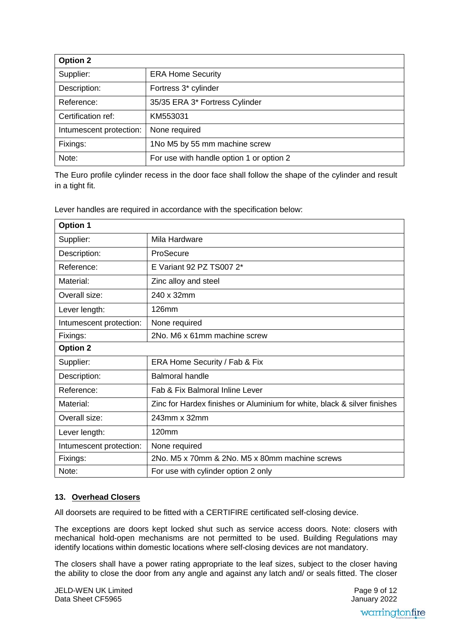| <b>Option 2</b>         |                                          |
|-------------------------|------------------------------------------|
| Supplier:               | <b>ERA Home Security</b>                 |
| Description:            | Fortress 3* cylinder                     |
| Reference:              | 35/35 ERA 3* Fortress Cylinder           |
| Certification ref:      | KM553031                                 |
| Intumescent protection: | None required                            |
| Fixings:                | 1No M5 by 55 mm machine screw            |
| Note:                   | For use with handle option 1 or option 2 |

The Euro profile cylinder recess in the door face shall follow the shape of the cylinder and result in a tight fit.

Lever handles are required in accordance with the specification below:

| <b>Option 1</b>         |                                                                          |
|-------------------------|--------------------------------------------------------------------------|
| Supplier:               | Mila Hardware                                                            |
| Description:            | ProSecure                                                                |
| Reference:              | E Variant 92 PZ TS007 2*                                                 |
| Material:               | Zinc alloy and steel                                                     |
| Overall size:           | 240 x 32mm                                                               |
| Lever length:           | <b>126mm</b>                                                             |
| Intumescent protection: | None required                                                            |
| Fixings:                | 2No. M6 x 61mm machine screw                                             |
| <b>Option 2</b>         |                                                                          |
| Supplier:               | ERA Home Security / Fab & Fix                                            |
| Description:            | <b>Balmoral handle</b>                                                   |
| Reference:              | Fab & Fix Balmoral Inline Lever                                          |
| Material:               | Zinc for Hardex finishes or Aluminium for white, black & silver finishes |
| Overall size:           | 243mm x 32mm                                                             |
| Lever length:           | 120mm                                                                    |
| Intumescent protection: | None required                                                            |
| Fixings:                | 2No. M5 x 70mm & 2No. M5 x 80mm machine screws                           |
| Note:                   | For use with cylinder option 2 only                                      |

# **13. Overhead Closers**

All doorsets are required to be fitted with a CERTIFIRE certificated self-closing device.

The exceptions are doors kept locked shut such as service access doors. Note: closers with mechanical hold-open mechanisms are not permitted to be used. Building Regulations may identify locations within domestic locations where self-closing devices are not mandatory.

The closers shall have a power rating appropriate to the leaf sizes, subject to the closer having the ability to close the door from any angle and against any latch and/ or seals fitted. The closer

JELD-WEN UK Limited Data Sheet CF5965

 January 2022Page 9 of 12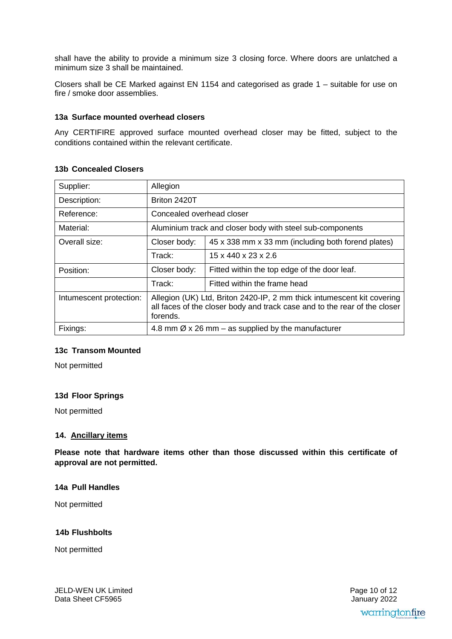shall have the ability to provide a minimum size 3 closing force. Where doors are unlatched a minimum size 3 shall be maintained.

Closers shall be CE Marked against EN 1154 and categorised as grade 1 – suitable for use on fire / smoke door assemblies.

### **13a Surface mounted overhead closers**

Any CERTIFIRE approved surface mounted overhead closer may be fitted, subject to the conditions contained within the relevant certificate.

| Supplier:               | Allegion                                                                                                                                                        |                                                    |  |
|-------------------------|-----------------------------------------------------------------------------------------------------------------------------------------------------------------|----------------------------------------------------|--|
| Description:            | Briton 2420T                                                                                                                                                    |                                                    |  |
| Reference:              | Concealed overhead closer                                                                                                                                       |                                                    |  |
| Material:               | Aluminium track and closer body with steel sub-components                                                                                                       |                                                    |  |
| Overall size:           | Closer body:                                                                                                                                                    | 45 x 338 mm x 33 mm (including both forend plates) |  |
|                         | $T$ rack:                                                                                                                                                       | $15 \times 440 \times 23 \times 2.6$               |  |
| Position:               | Closer body:                                                                                                                                                    | Fitted within the top edge of the door leaf.       |  |
|                         | Track:                                                                                                                                                          | Fitted within the frame head                       |  |
| Intumescent protection: | Allegion (UK) Ltd, Briton 2420-IP, 2 mm thick intumescent kit covering<br>all faces of the closer body and track case and to the rear of the closer<br>forends. |                                                    |  |
| Fixings:                | 4.8 mm $\varnothing$ x 26 mm – as supplied by the manufacturer                                                                                                  |                                                    |  |

#### **13b Concealed Closers**

### **13c Transom Mounted**

Not permitted

### **13d Floor Springs**

Not permitted

## **14. Ancillary items**

**Please note that hardware items other than those discussed within this certificate of approval are not permitted.**

#### **14a Pull Handles**

Not permitted

### **14b Flushbolts**

Not permitted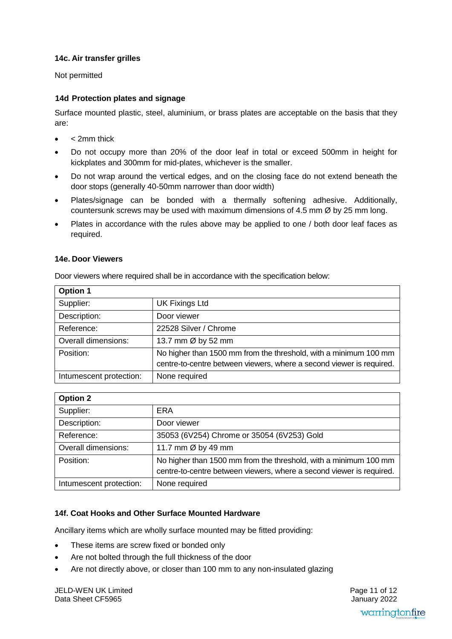# **14c. Air transfer grilles**

Not permitted

# **14d Protection plates and signage**

 Surface mounted plastic, steel, aluminium, or brass plates are acceptable on the basis that they are:

- < 2mm thick
- Do not occupy more than 20% of the door leaf in total or exceed 500mm in height for kickplates and 300mm for mid-plates, whichever is the smaller.
- Do not wrap around the vertical edges, and on the closing face do not extend beneath the door stops (generally 40-50mm narrower than door width)
- Plates/signage can be bonded with a thermally softening adhesive. Additionally, countersunk screws may be used with maximum dimensions of 4.5 mm Ø by 25 mm long.
- Plates in accordance with the rules above may be applied to one / both door leaf faces as required.

### **14e. Door Viewers**

Door viewers where required shall be in accordance with the specification below:

| <b>Option 1</b>         |                                                                                                                                          |
|-------------------------|------------------------------------------------------------------------------------------------------------------------------------------|
| Supplier:               | <b>UK Fixings Ltd</b>                                                                                                                    |
| Description:            | Door viewer                                                                                                                              |
| Reference:              | 22528 Silver / Chrome                                                                                                                    |
| Overall dimensions:     | 13.7 mm Ø by 52 mm                                                                                                                       |
| Position:               | No higher than 1500 mm from the threshold, with a minimum 100 mm<br>centre-to-centre between viewers, where a second viewer is required. |
| Intumescent protection: | None required                                                                                                                            |

| <b>Option 2</b>         |                                                                                                                                          |
|-------------------------|------------------------------------------------------------------------------------------------------------------------------------------|
| Supplier:               | ERA                                                                                                                                      |
| Description:            | Door viewer                                                                                                                              |
| Reference:              | 35053 (6V254) Chrome or 35054 (6V253) Gold                                                                                               |
| Overall dimensions:     | 11.7 mm Ø by 49 mm                                                                                                                       |
| Position:               | No higher than 1500 mm from the threshold, with a minimum 100 mm<br>centre-to-centre between viewers, where a second viewer is required. |
| Intumescent protection: | None required                                                                                                                            |

### **14f. Coat Hooks and Other Surface Mounted Hardware**

Ancillary items which are wholly surface mounted may be fitted providing:

- These items are screw fixed or bonded only
- Are not bolted through the full thickness of the door
- Are not directly above, or closer than 100 mm to any non-insulated glazing

 January 2022Page 11 of 12